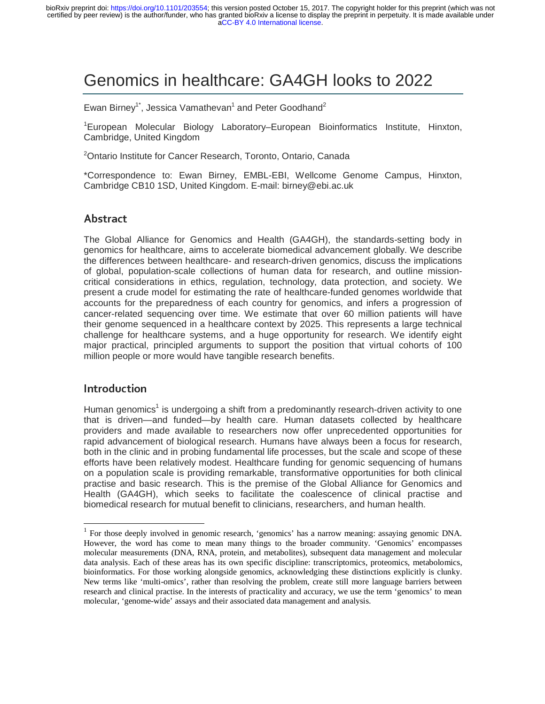# Genomics in healthcare: GA4GH looks to 2022

Ewan Birney<sup>1\*</sup>, Jessica Vamathevan<sup>1</sup> and Peter Goodhand<sup>2</sup>

1 European Molecular Biology Laboratory–European Bioinformatics Institute, Hinxton, Cambridge, United Kingdom

2 Ontario Institute for Cancer Research, Toronto, Ontario, Canada

\*Correspondence to: Ewan Birney, EMBL-EBI, Wellcome Genome Campus, Hinxton, Cambridge CB10 1SD, United Kingdom. E-mail: birney@ebi.ac.uk

# Abstract

The Global Alliance for Genomics and Health (GA4GH), the standards-setting body in genomics for healthcare, aims to accelerate biomedical advancement globally. We describe the differences between healthcare- and research-driven genomics, discuss the implications of global, population-scale collections of human data for research, and outline missioncritical considerations in ethics, regulation, technology, data protection, and society. We present a crude model for estimating the rate of healthcare-funded genomes worldwide that accounts for the preparedness of each country for genomics, and infers a progression of cancer-related sequencing over time. We estimate that over 60 million patients will have their genome sequenced in a healthcare context by 2025. This represents a large technical challenge for healthcare systems, and a huge opportunity for research. We identify eight major practical, principled arguments to support the position that virtual cohorts of 100 million people or more would have tangible research benefits.

# Introduction

Human genomics<sup>1</sup> is undergoing a shift from a predominantly research-driven activity to one that is driven—and funded—by health care. Human datasets collected by healthcare providers and made available to researchers now offer unprecedented opportunities for rapid advancement of biological research. Humans have always been a focus for research, both in the clinic and in probing fundamental life processes, but the scale and scope of these efforts have been relatively modest. Healthcare funding for genomic sequencing of humans on a population scale is providing remarkable, transformative opportunities for both clinical practise and basic research. This is the premise of the Global Alliance for Genomics and Health (GA4GH), which seeks to facilitate the coalescence of clinical practise and biomedical research for mutual benefit to clinicians, researchers, and human health.

<sup>&</sup>lt;sup>1</sup> For those deeply involved in genomic research, 'genomics' has a narrow meaning: assaying genomic DNA. However, the word has come to mean many things to the broader community. 'Genomics' encompasses molecular measurements (DNA, RNA, protein, and metabolites), subsequent data management and molecular data analysis. Each of these areas has its own specific discipline: transcriptomics, proteomics, metabolomics, bioinformatics. For those working alongside genomics, acknowledging these distinctions explicitly is clunky. New terms like 'multi-omics', rather than resolving the problem, create still more language barriers between research and clinical practise. In the interests of practicality and accuracy, we use the term 'genomics' to mean molecular, 'genome-wide' assays and their associated data management and analysis.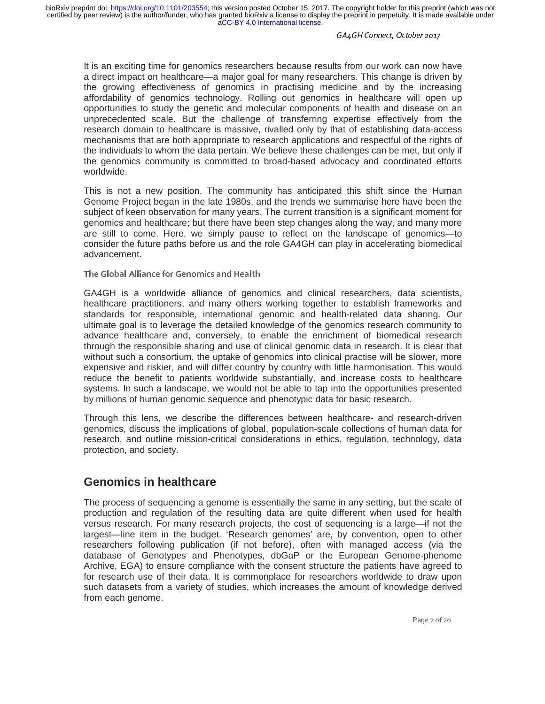GA4GH Connect, October 2017

It is an exciting time for genomics researchers because results from our work can now have a direct impact on healthcare—a major goal for many researchers. This change is driven by the growing effectiveness of genomics in practising medicine and by the increasing affordability of genomics technology. Rolling out genomics in healthcare will open up opportunities to study the genetic and molecular components of health and disease on an unprecedented scale. But the challenge of transferring expertise effectively from the research domain to healthcare is massive, rivalled only by that of establishing data-access mechanisms that are both appropriate to research applications and respectful of the rights of the individuals to whom the data pertain. We believe these challenges can be met, but only if the genomics community is committed to broad-based advocacy and coordinated efforts worldwide.

This is not a new position. The community has anticipated this shift since the Human Genome Project began in the late 1980s, and the trends we summarise here have been the subject of keen observation for many years. The current transition is a significant moment for genomics and healthcare; but there have been step changes along the way, and many more are still to come. Here, we simply pause to reflect on the landscape of genomics—to consider the future paths before us and the role GA4GH can play in accelerating biomedical advancement.

The Global Alliance for Genomics and Health

GA4GH is a worldwide alliance of genomics and clinical researchers, data scientists, healthcare practitioners, and many others working together to establish frameworks and standards for responsible, international genomic and health-related data sharing. Our ultimate goal is to leverage the detailed knowledge of the genomics research community to advance healthcare and, conversely, to enable the enrichment of biomedical research through the responsible sharing and use of clinical genomic data in research. It is clear that without such a consortium, the uptake of genomics into clinical practise will be slower, more expensive and riskier, and will differ country by country with little harmonisation. This would reduce the benefit to patients worldwide substantially, and increase costs to healthcare systems. In such a landscape, we would not be able to tap into the opportunities presented by millions of human genomic sequence and phenotypic data for basic research.

Through this lens, we describe the differences between healthcare- and research-driven genomics, discuss the implications of global, population-scale collections of human data for research, and outline mission-critical considerations in ethics, regulation, technology, data protection, and society.

# **Genomics in healthcare**

The process of sequencing a genome is essentially the same in any setting, but the scale of production and regulation of the resulting data are quite different when used for health versus research. For many research projects, the cost of sequencing is a large—if not the largest—line item in the budget. 'Research genomes' are, by convention, open to other researchers following publication (if not before), often with managed access (via the database of Genotypes and Phenotypes, dbGaP or the European Genome-phenome Archive, EGA) to ensure compliance with the consent structure the patients have agreed to for research use of their data. It is commonplace for researchers worldwide to draw upon such datasets from a variety of studies, which increases the amount of knowledge derived from each genome.

Page 2 of 20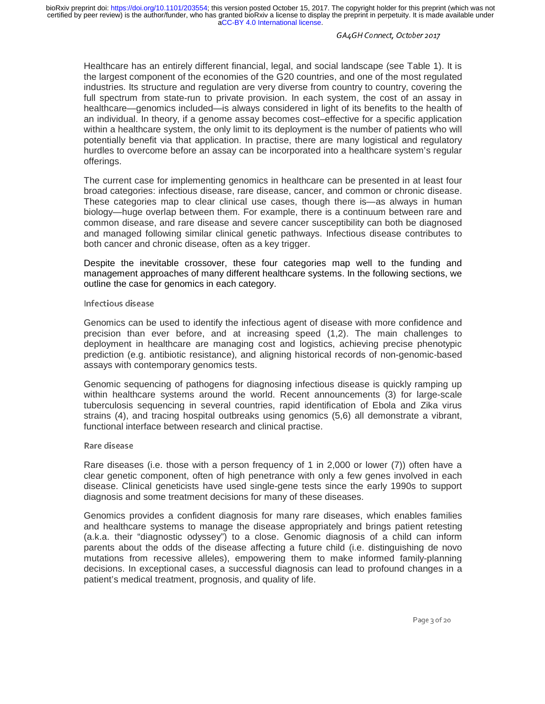GA4GH Connect, October 2017

Healthcare has an entirely different financial, legal, and social landscape (see Table 1). It is the largest component of the economies of the G20 countries, and one of the most regulated industries. Its structure and regulation are very diverse from country to country, covering the full spectrum from state-run to private provision. In each system, the cost of an assay in healthcare—genomics included—is always considered in light of its benefits to the health of an individual. In theory, if a genome assay becomes cost–effective for a specific application within a healthcare system, the only limit to its deployment is the number of patients who will potentially benefit via that application. In practise, there are many logistical and regulatory hurdles to overcome before an assay can be incorporated into a healthcare system's regular offerings.

The current case for implementing genomics in healthcare can be presented in at least four broad categories: infectious disease, rare disease, cancer, and common or chronic disease. These categories map to clear clinical use cases, though there is—as always in human biology—huge overlap between them. For example, there is a continuum between rare and common disease, and rare disease and severe cancer susceptibility can both be diagnosed and managed following similar clinical genetic pathways. Infectious disease contributes to both cancer and chronic disease, often as a key trigger.

Despite the inevitable crossover, these four categories map well to the funding and management approaches of many different healthcare systems. In the following sections, we outline the case for genomics in each category.

#### Infectious disease

Genomics can be used to identify the infectious agent of disease with more confidence and precision than ever before, and at increasing speed (1,2). The main challenges to deployment in healthcare are managing cost and logistics, achieving precise phenotypic prediction (e.g. antibiotic resistance), and aligning historical records of non-genomic-based assays with contemporary genomics tests.

Genomic sequencing of pathogens for diagnosing infectious disease is quickly ramping up within healthcare systems around the world. Recent announcements (3) for large-scale tuberculosis sequencing in several countries, rapid identification of Ebola and Zika virus strains (4), and tracing hospital outbreaks using genomics (5,6) all demonstrate a vibrant, functional interface between research and clinical practise.

#### Rare disease

Rare diseases (i.e. those with a person frequency of 1 in 2,000 or lower (7)) often have a clear genetic component, often of high penetrance with only a few genes involved in each disease. Clinical geneticists have used single-gene tests since the early 1990s to support diagnosis and some treatment decisions for many of these diseases.

Genomics provides a confident diagnosis for many rare diseases, which enables families and healthcare systems to manage the disease appropriately and brings patient retesting (a.k.a. their "diagnostic odyssey") to a close. Genomic diagnosis of a child can inform parents about the odds of the disease affecting a future child (i.e. distinguishing de novo mutations from recessive alleles), empowering them to make informed family-planning decisions. In exceptional cases, a successful diagnosis can lead to profound changes in a patient's medical treatment, prognosis, and quality of life.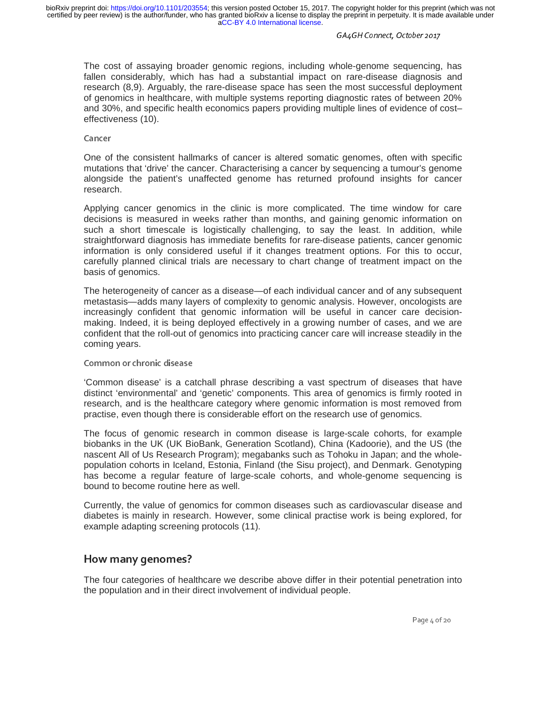The cost of assaying broader genomic regions, including whole-genome sequencing, has fallen considerably, which has had a substantial impact on rare-disease diagnosis and research (8,9). Arguably, the rare-disease space has seen the most successful deployment of genomics in healthcare, with multiple systems reporting diagnostic rates of between 20% and 30%, and specific health economics papers providing multiple lines of evidence of cost– effectiveness (10).

#### Cancer

One of the consistent hallmarks of cancer is altered somatic genomes, often with specific mutations that 'drive' the cancer. Characterising a cancer by sequencing a tumour's genome alongside the patient's unaffected genome has returned profound insights for cancer research.

Applying cancer genomics in the clinic is more complicated. The time window for care decisions is measured in weeks rather than months, and gaining genomic information on such a short timescale is logistically challenging, to say the least. In addition, while straightforward diagnosis has immediate benefits for rare-disease patients, cancer genomic information is only considered useful if it changes treatment options. For this to occur, carefully planned clinical trials are necessary to chart change of treatment impact on the basis of genomics.

The heterogeneity of cancer as a disease—of each individual cancer and of any subsequent metastasis—adds many layers of complexity to genomic analysis. However, oncologists are increasingly confident that genomic information will be useful in cancer care decisionmaking. Indeed, it is being deployed effectively in a growing number of cases, and we are confident that the roll-out of genomics into practicing cancer care will increase steadily in the coming years.

#### Common or chronic disease

'Common disease' is a catchall phrase describing a vast spectrum of diseases that have distinct 'environmental' and 'genetic' components. This area of genomics is firmly rooted in research, and is the healthcare category where genomic information is most removed from practise, even though there is considerable effort on the research use of genomics.

The focus of genomic research in common disease is large-scale cohorts, for example biobanks in the UK (UK BioBank, Generation Scotland), China (Kadoorie), and the US (the nascent All of Us Research Program); megabanks such as Tohoku in Japan; and the wholepopulation cohorts in Iceland, Estonia, Finland (the Sisu project), and Denmark. Genotyping has become a regular feature of large-scale cohorts, and whole-genome sequencing is bound to become routine here as well.

Currently, the value of genomics for common diseases such as cardiovascular disease and diabetes is mainly in research. However, some clinical practise work is being explored, for example adapting screening protocols (11).

# How many genomes?

The four categories of healthcare we describe above differ in their potential penetration into the population and in their direct involvement of individual people.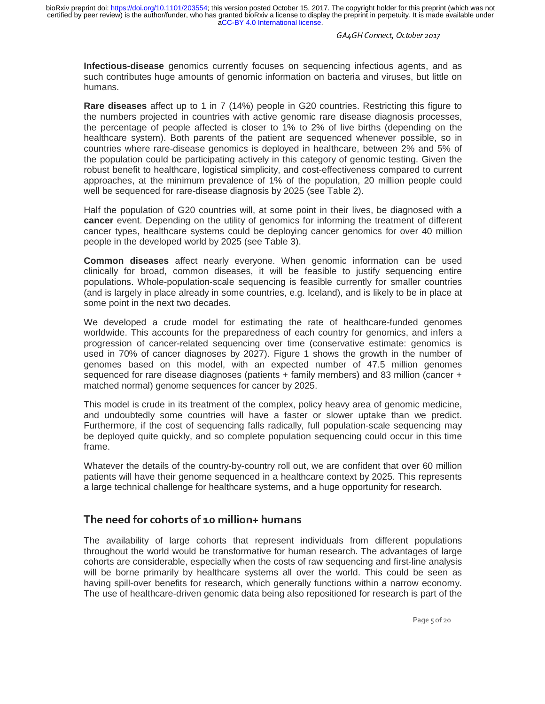GA4GH Connect, October 2017

**Infectious-disease** genomics currently focuses on sequencing infectious agents, and as such contributes huge amounts of genomic information on bacteria and viruses, but little on humans.

**Rare diseases** affect up to 1 in 7 (14%) people in G20 countries. Restricting this figure to the numbers projected in countries with active genomic rare disease diagnosis processes, the percentage of people affected is closer to 1% to 2% of live births (depending on the healthcare system). Both parents of the patient are sequenced whenever possible, so in countries where rare-disease genomics is deployed in healthcare, between 2% and 5% of the population could be participating actively in this category of genomic testing. Given the robust benefit to healthcare, logistical simplicity, and cost-effectiveness compared to current approaches, at the minimum prevalence of 1% of the population, 20 million people could well be sequenced for rare-disease diagnosis by 2025 (see Table 2).

Half the population of G20 countries will, at some point in their lives, be diagnosed with a **cancer** event. Depending on the utility of genomics for informing the treatment of different cancer types, healthcare systems could be deploying cancer genomics for over 40 million people in the developed world by 2025 (see Table 3).

**Common diseases** affect nearly everyone. When genomic information can be used clinically for broad, common diseases, it will be feasible to justify sequencing entire populations. Whole-population-scale sequencing is feasible currently for smaller countries (and is largely in place already in some countries, e.g. Iceland), and is likely to be in place at some point in the next two decades.

We developed a crude model for estimating the rate of healthcare-funded genomes worldwide. This accounts for the preparedness of each country for genomics, and infers a progression of cancer-related sequencing over time (conservative estimate: genomics is used in 70% of cancer diagnoses by 2027). Figure 1 shows the growth in the number of genomes based on this model, with an expected number of 47.5 million genomes sequenced for rare disease diagnoses (patients + family members) and 83 million (cancer + matched normal) genome sequences for cancer by 2025.

This model is crude in its treatment of the complex, policy heavy area of genomic medicine, and undoubtedly some countries will have a faster or slower uptake than we predict. Furthermore, if the cost of sequencing falls radically, full population-scale sequencing may be deployed quite quickly, and so complete population sequencing could occur in this time frame.

Whatever the details of the country-by-country roll out, we are confident that over 60 million patients will have their genome sequenced in a healthcare context by 2025. This represents a large technical challenge for healthcare systems, and a huge opportunity for research.

# The need for cohorts of 10 million+ humans

The availability of large cohorts that represent individuals from different populations throughout the world would be transformative for human research. The advantages of large cohorts are considerable, especially when the costs of raw sequencing and first-line analysis will be borne primarily by healthcare systems all over the world. This could be seen as having spill-over benefits for research, which generally functions within a narrow economy. The use of healthcare-driven genomic data being also repositioned for research is part of the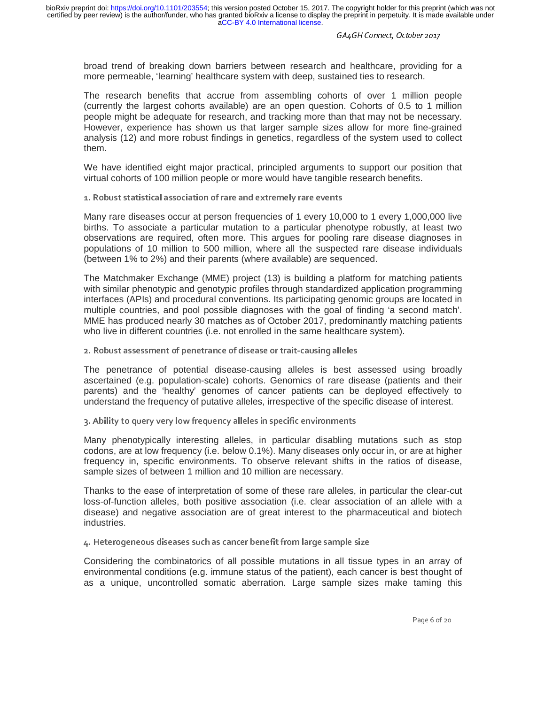GA4GH Connect, October 2017

broad trend of breaking down barriers between research and healthcare, providing for a more permeable, 'learning' healthcare system with deep, sustained ties to research.

The research benefits that accrue from assembling cohorts of over 1 million people (currently the largest cohorts available) are an open question. Cohorts of 0.5 to 1 million people might be adequate for research, and tracking more than that may not be necessary. However, experience has shown us that larger sample sizes allow for more fine-grained analysis (12) and more robust findings in genetics, regardless of the system used to collect them.

We have identified eight major practical, principled arguments to support our position that virtual cohorts of 100 million people or more would have tangible research benefits.

1. Robust statistical association of rare and extremely rare events

Many rare diseases occur at person frequencies of 1 every 10,000 to 1 every 1,000,000 live births. To associate a particular mutation to a particular phenotype robustly, at least two observations are required, often more. This argues for pooling rare disease diagnoses in populations of 10 million to 500 million, where all the suspected rare disease individuals (between 1% to 2%) and their parents (where available) are sequenced.

The Matchmaker Exchange (MME) project (13) is building a platform for matching patients with similar phenotypic and genotypic profiles through standardized application programming interfaces (APIs) and procedural conventions. Its participating genomic groups are located in multiple countries, and pool possible diagnoses with the goal of finding 'a second match'. MME has produced nearly 30 matches as of October 2017, predominantly matching patients who live in different countries (i.e. not enrolled in the same healthcare system).

2. Robust assessment of penetrance of disease or trait-causing alleles

The penetrance of potential disease-causing alleles is best assessed using broadly ascertained (e.g. population-scale) cohorts. Genomics of rare disease (patients and their parents) and the 'healthy' genomes of cancer patients can be deployed effectively to understand the frequency of putative alleles, irrespective of the specific disease of interest.

3. Ability to query very low frequency alleles in specific environments

Many phenotypically interesting alleles, in particular disabling mutations such as stop codons, are at low frequency (i.e. below 0.1%). Many diseases only occur in, or are at higher frequency in, specific environments. To observe relevant shifts in the ratios of disease, sample sizes of between 1 million and 10 million are necessary.

Thanks to the ease of interpretation of some of these rare alleles, in particular the clear-cut loss-of-function alleles, both positive association (i.e. clear association of an allele with a disease) and negative association are of great interest to the pharmaceutical and biotech industries.

4. Heterogeneous diseases such as cancer benefit from large sample size

Considering the combinatorics of all possible mutations in all tissue types in an array of environmental conditions (e.g. immune status of the patient), each cancer is best thought of as a unique, uncontrolled somatic aberration. Large sample sizes make taming this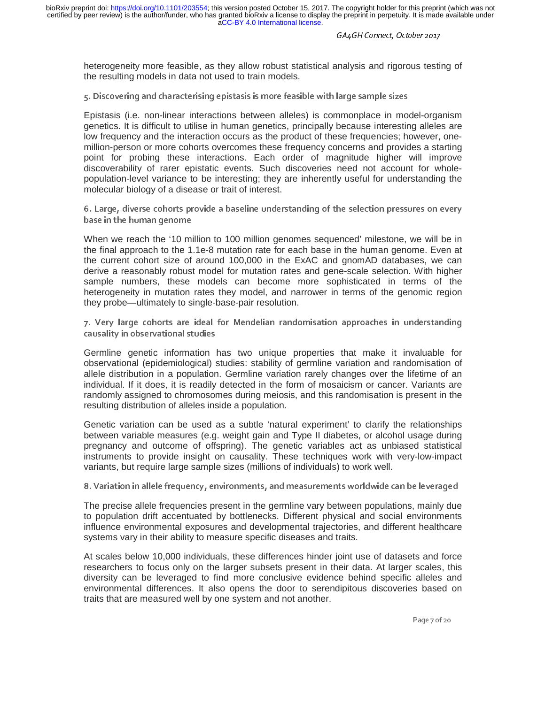heterogeneity more feasible, as they allow robust statistical analysis and rigorous testing of the resulting models in data not used to train models.

5. Discovering and characterising epistasis is more feasible with large sample sizes

Epistasis (i.e. non-linear interactions between alleles) is commonplace in model-organism genetics. It is difficult to utilise in human genetics, principally because interesting alleles are low frequency and the interaction occurs as the product of these frequencies; however, onemillion-person or more cohorts overcomes these frequency concerns and provides a starting point for probing these interactions. Each order of magnitude higher will improve discoverability of rarer epistatic events. Such discoveries need not account for wholepopulation-level variance to be interesting; they are inherently useful for understanding the molecular biology of a disease or trait of interest.

6. Large, diverse cohorts provide a baseline understanding of the selection pressures on every base in the human genome

When we reach the '10 million to 100 million genomes sequenced' milestone, we will be in the final approach to the 1.1e-8 mutation rate for each base in the human genome. Even at the current cohort size of around 100,000 in the ExAC and gnomAD databases, we can derive a reasonably robust model for mutation rates and gene-scale selection. With higher sample numbers, these models can become more sophisticated in terms of the heterogeneity in mutation rates they model, and narrower in terms of the genomic region they probe—ultimately to single-base-pair resolution.

7. Very large cohorts are ideal for Mendelian randomisation approaches in understanding causality in observational studies

Germline genetic information has two unique properties that make it invaluable for observational (epidemiological) studies: stability of germline variation and randomisation of allele distribution in a population. Germline variation rarely changes over the lifetime of an individual. If it does, it is readily detected in the form of mosaicism or cancer. Variants are randomly assigned to chromosomes during meiosis, and this randomisation is present in the resulting distribution of alleles inside a population.

Genetic variation can be used as a subtle 'natural experiment' to clarify the relationships between variable measures (e.g. weight gain and Type II diabetes, or alcohol usage during pregnancy and outcome of offspring). The genetic variables act as unbiased statistical instruments to provide insight on causality. These techniques work with very-low-impact variants, but require large sample sizes (millions of individuals) to work well.

8. Variation in allele frequency, environments, and measurements worldwide can be leveraged

The precise allele frequencies present in the germline vary between populations, mainly due to population drift accentuated by bottlenecks. Different physical and social environments influence environmental exposures and developmental trajectories, and different healthcare systems vary in their ability to measure specific diseases and traits.

At scales below 10,000 individuals, these differences hinder joint use of datasets and force researchers to focus only on the larger subsets present in their data. At larger scales, this diversity can be leveraged to find more conclusive evidence behind specific alleles and environmental differences. It also opens the door to serendipitous discoveries based on traits that are measured well by one system and not another.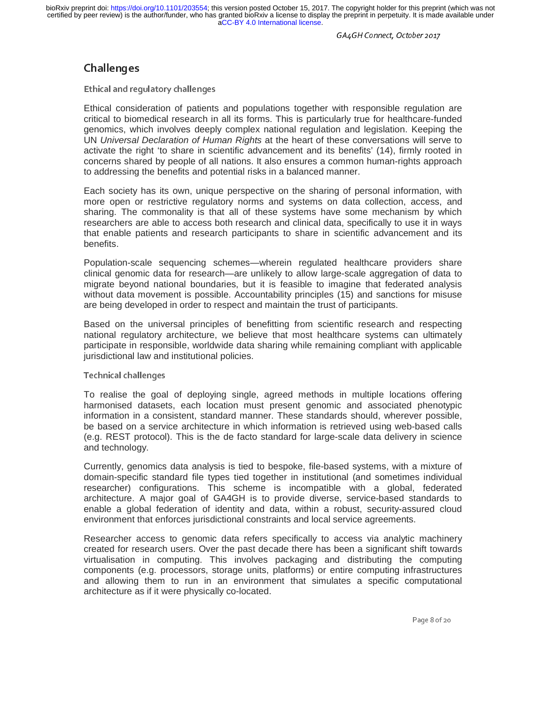GA4GH Connect, October 2017

# Challenges

Ethical and regulatory challenges

Ethical consideration of patients and populations together with responsible regulation are critical to biomedical research in all its forms. This is particularly true for healthcare-funded genomics, which involves deeply complex national regulation and legislation. Keeping the UN *Universal Declaration of Human Rights* at the heart of these conversations will serve to activate the right 'to share in scientific advancement and its benefits' (14), firmly rooted in concerns shared by people of all nations. It also ensures a common human-rights approach to addressing the benefits and potential risks in a balanced manner.

Each society has its own, unique perspective on the sharing of personal information, with more open or restrictive regulatory norms and systems on data collection, access, and sharing. The commonality is that all of these systems have some mechanism by which researchers are able to access both research and clinical data, specifically to use it in ways that enable patients and research participants to share in scientific advancement and its benefits.

Population-scale sequencing schemes—wherein regulated healthcare providers share clinical genomic data for research—are unlikely to allow large-scale aggregation of data to migrate beyond national boundaries, but it is feasible to imagine that federated analysis without data movement is possible. Accountability principles (15) and sanctions for misuse are being developed in order to respect and maintain the trust of participants.

Based on the universal principles of benefitting from scientific research and respecting national regulatory architecture, we believe that most healthcare systems can ultimately participate in responsible, worldwide data sharing while remaining compliant with applicable jurisdictional law and institutional policies.

#### Technical challenges

To realise the goal of deploying single, agreed methods in multiple locations offering harmonised datasets, each location must present genomic and associated phenotypic information in a consistent, standard manner. These standards should, wherever possible, be based on a service architecture in which information is retrieved using web-based calls (e.g. REST protocol). This is the de facto standard for large-scale data delivery in science and technology.

Currently, genomics data analysis is tied to bespoke, file-based systems, with a mixture of domain-specific standard file types tied together in institutional (and sometimes individual researcher) configurations. This scheme is incompatible with a global, federated architecture. A major goal of GA4GH is to provide diverse, service-based standards to enable a global federation of identity and data, within a robust, security-assured cloud environment that enforces jurisdictional constraints and local service agreements.

Researcher access to genomic data refers specifically to access via analytic machinery created for research users. Over the past decade there has been a significant shift towards virtualisation in computing. This involves packaging and distributing the computing components (e.g. processors, storage units, platforms) or entire computing infrastructures and allowing them to run in an environment that simulates a specific computational architecture as if it were physically co-located.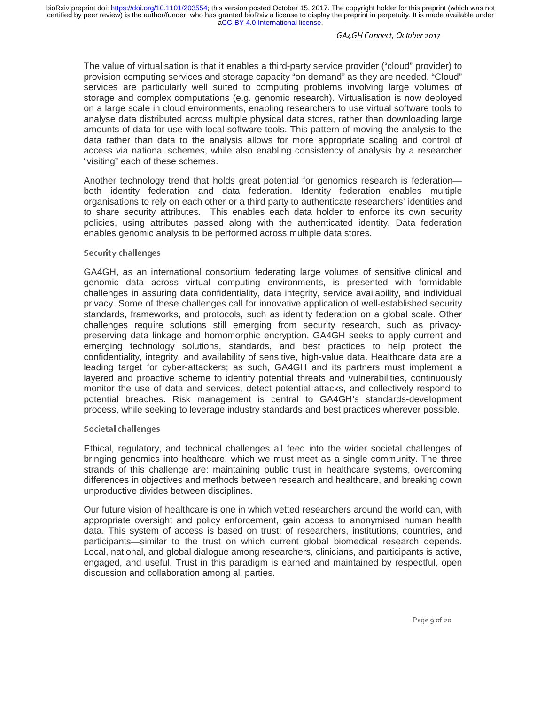The value of virtualisation is that it enables a third-party service provider ("cloud" provider) to provision computing services and storage capacity "on demand" as they are needed. "Cloud" services are particularly well suited to computing problems involving large volumes of storage and complex computations (e.g. genomic research). Virtualisation is now deployed on a large scale in cloud environments, enabling researchers to use virtual software tools to analyse data distributed across multiple physical data stores, rather than downloading large amounts of data for use with local software tools. This pattern of moving the analysis to the data rather than data to the analysis allows for more appropriate scaling and control of access via national schemes, while also enabling consistency of analysis by a researcher "visiting" each of these schemes.

Another technology trend that holds great potential for genomics research is federation both identity federation and data federation. Identity federation enables multiple organisations to rely on each other or a third party to authenticate researchers' identities and to share security attributes. This enables each data holder to enforce its own security policies, using attributes passed along with the authenticated identity. Data federation enables genomic analysis to be performed across multiple data stores.

#### Security challenges

GA4GH, as an international consortium federating large volumes of sensitive clinical and genomic data across virtual computing environments, is presented with formidable challenges in assuring data confidentiality, data integrity, service availability, and individual privacy. Some of these challenges call for innovative application of well-established security standards, frameworks, and protocols, such as identity federation on a global scale. Other challenges require solutions still emerging from security research, such as privacypreserving data linkage and homomorphic encryption. GA4GH seeks to apply current and emerging technology solutions, standards, and best practices to help protect the confidentiality, integrity, and availability of sensitive, high-value data. Healthcare data are a leading target for cyber-attackers; as such, GA4GH and its partners must implement a layered and proactive scheme to identify potential threats and vulnerabilities, continuously monitor the use of data and services, detect potential attacks, and collectively respond to potential breaches. Risk management is central to GA4GH's standards-development process, while seeking to leverage industry standards and best practices wherever possible.

#### Societal challenges

Ethical, regulatory, and technical challenges all feed into the wider societal challenges of bringing genomics into healthcare, which we must meet as a single community. The three strands of this challenge are: maintaining public trust in healthcare systems, overcoming differences in objectives and methods between research and healthcare, and breaking down unproductive divides between disciplines.

Our future vision of healthcare is one in which vetted researchers around the world can, with appropriate oversight and policy enforcement, gain access to anonymised human health data. This system of access is based on trust: of researchers, institutions, countries, and participants—similar to the trust on which current global biomedical research depends. Local, national, and global dialogue among researchers, clinicians, and participants is active, engaged, and useful. Trust in this paradigm is earned and maintained by respectful, open discussion and collaboration among all parties.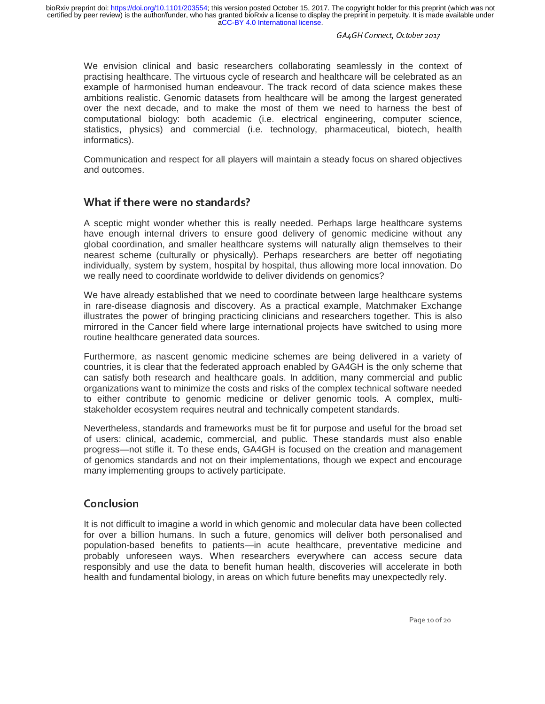GA4GH Connect, October 2017

We envision clinical and basic researchers collaborating seamlessly in the context of practising healthcare. The virtuous cycle of research and healthcare will be celebrated as an example of harmonised human endeavour. The track record of data science makes these ambitions realistic. Genomic datasets from healthcare will be among the largest generated over the next decade, and to make the most of them we need to harness the best of computational biology: both academic (i.e. electrical engineering, computer science, statistics, physics) and commercial (i.e. technology, pharmaceutical, biotech, health informatics).

Communication and respect for all players will maintain a steady focus on shared objectives and outcomes.

# What if there were no standards?

A sceptic might wonder whether this is really needed. Perhaps large healthcare systems have enough internal drivers to ensure good delivery of genomic medicine without any global coordination, and smaller healthcare systems will naturally align themselves to their nearest scheme (culturally or physically). Perhaps researchers are better off negotiating individually, system by system, hospital by hospital, thus allowing more local innovation. Do we really need to coordinate worldwide to deliver dividends on genomics?

We have already established that we need to coordinate between large healthcare systems in rare-disease diagnosis and discovery. As a practical example, Matchmaker Exchange illustrates the power of bringing practicing clinicians and researchers together. This is also mirrored in the Cancer field where large international projects have switched to using more routine healthcare generated data sources.

Furthermore, as nascent genomic medicine schemes are being delivered in a variety of countries, it is clear that the federated approach enabled by GA4GH is the only scheme that can satisfy both research and healthcare goals. In addition, many commercial and public organizations want to minimize the costs and risks of the complex technical software needed to either contribute to genomic medicine or deliver genomic tools. A complex, multistakeholder ecosystem requires neutral and technically competent standards.

Nevertheless, standards and frameworks must be fit for purpose and useful for the broad set of users: clinical, academic, commercial, and public. These standards must also enable progress—not stifle it. To these ends, GA4GH is focused on the creation and management of genomics standards and not on their implementations, though we expect and encourage many implementing groups to actively participate.

### Conclusion

It is not difficult to imagine a world in which genomic and molecular data have been collected for over a billion humans. In such a future, genomics will deliver both personalised and population-based benefits to patients—in acute healthcare, preventative medicine and probably unforeseen ways. When researchers everywhere can access secure data responsibly and use the data to benefit human health, discoveries will accelerate in both health and fundamental biology, in areas on which future benefits may unexpectedly rely.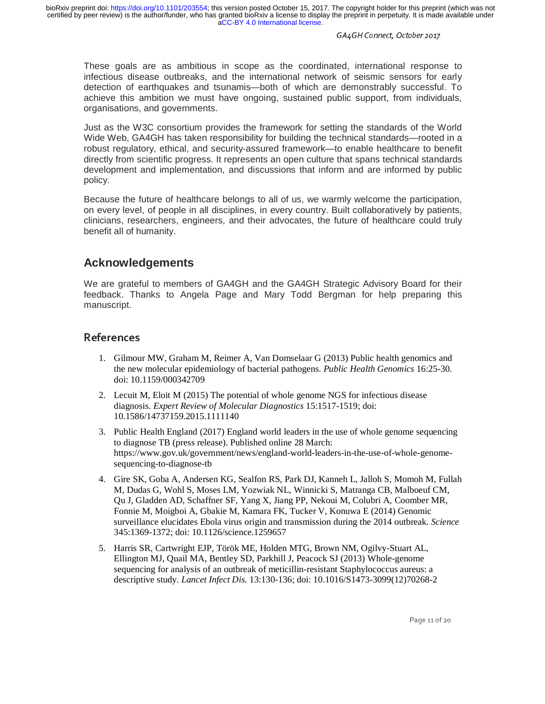GA4GH Connect, October 2017

These goals are as ambitious in scope as the coordinated, international response to infectious disease outbreaks, and the international network of seismic sensors for early detection of earthquakes and tsunamis—both of which are demonstrably successful. To achieve this ambition we must have ongoing, sustained public support, from individuals, organisations, and governments.

Just as the W3C consortium provides the framework for setting the standards of the World Wide Web, GA4GH has taken responsibility for building the technical standards—rooted in a robust regulatory, ethical, and security-assured framework—to enable healthcare to benefit directly from scientific progress. It represents an open culture that spans technical standards development and implementation, and discussions that inform and are informed by public policy.

Because the future of healthcare belongs to all of us, we warmly welcome the participation, on every level, of people in all disciplines, in every country. Built collaboratively by patients, clinicians, researchers, engineers, and their advocates, the future of healthcare could truly benefit all of humanity.

# **Acknowledgements**

We are grateful to members of GA4GH and the GA4GH Strategic Advisory Board for their feedback. Thanks to Angela Page and Mary Todd Bergman for help preparing this manuscript.

### References

- 1. Gilmour MW, Graham M, Reimer A, Van Domselaar G (2013) Public health genomics and the new molecular epidemiology of bacterial pathogens. *Public Health Genomics* 16:25-30. doi: 10.1159/000342709
- 2. Lecuit M, Eloit M (2015) The potential of whole genome NGS for infectious disease diagnosis. *Expert Review of Molecular Diagnostics* 15:1517-1519; doi: 10.1586/14737159.2015.1111140
- 3. Public Health England (2017) England world leaders in the use of whole genome sequencing to diagnose TB (press release). Published online 28 March: https://www.gov.uk/government/news/england-world-leaders-in-the-use-of-whole-genomesequencing-to-diagnose-tb
- 4. Gire SK, Goba A, Andersen KG, Sealfon RS, Park DJ, Kanneh L, Jalloh S, Momoh M, Fullah M, Dudas G, Wohl S, Moses LM, Yozwiak NL, Winnicki S, Matranga CB, Malboeuf CM, Qu J, Gladden AD, Schaffner SF, Yang X, Jiang PP, Nekoui M, Colubri A, Coomber MR, Fonnie M, Moigboi A, Gbakie M, Kamara FK, Tucker V, Konuwa E (2014) Genomic surveillance elucidates Ebola virus origin and transmission during the 2014 outbreak. *Science* 345:1369-1372; doi: 10.1126/science.1259657
- 5. Harris SR, Cartwright EJP, Török ME, Holden MTG, Brown NM, Ogilvy-Stuart AL, Ellington MJ, Quail MA, Bentley SD, Parkhill J, Peacock SJ (2013) Whole-genome sequencing for analysis of an outbreak of meticillin-resistant Staphylococcus aureus: a descriptive study. *Lancet Infect Dis.* 13:130-136; doi: 10.1016/S1473-3099(12)70268-2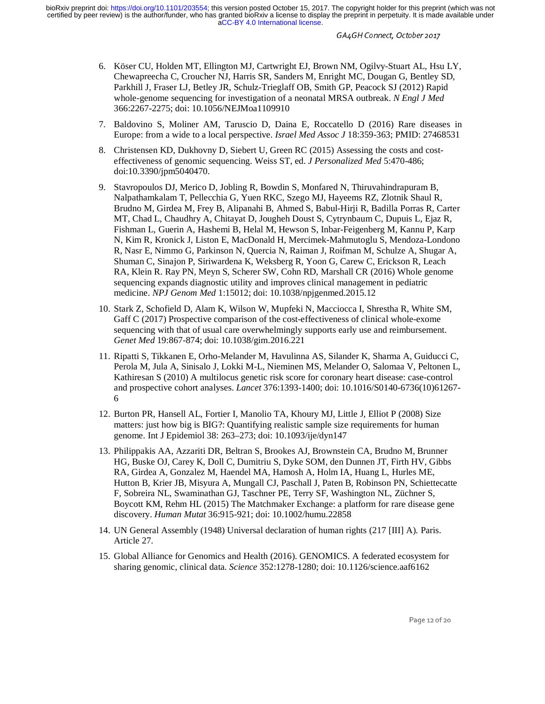GA4GH Connect, October 2017

- 6. Köser CU, Holden MT, Ellington MJ, Cartwright EJ, Brown NM, Ogilvy-Stuart AL, Hsu LY, Chewapreecha C, Croucher NJ, Harris SR, Sanders M, Enright MC, Dougan G, Bentley SD, Parkhill J, Fraser LJ, Betley JR, Schulz-Trieglaff OB, Smith GP, Peacock SJ (2012) Rapid whole-genome sequencing for investigation of a neonatal MRSA outbreak. *N Engl J Med* 366:2267-2275; doi: 10.1056/NEJMoa1109910
- 7. Baldovino S, Moliner AM, Taruscio D, Daina E, Roccatello D (2016) Rare diseases in Europe: from a wide to a local perspective. *Israel Med Assoc J* 18:359-363; PMID: 27468531
- 8. Christensen KD, Dukhovny D, Siebert U, Green RC (2015) Assessing the costs and costeffectiveness of genomic sequencing. Weiss ST, ed. *J Personalized Med* 5:470-486; doi:10.3390/jpm5040470.
- 9. Stavropoulos DJ, Merico D, Jobling R, Bowdin S, Monfared N, Thiruvahindrapuram B, Nalpathamkalam T, Pellecchia G, Yuen RKC, Szego MJ, Hayeems RZ, Zlotnik Shaul R, Brudno M, Girdea M, Frey B, Alipanahi B, Ahmed S, Babul-Hirji R, Badilla Porras R, Carter MT, Chad L, Chaudhry A, Chitayat D, Jougheh Doust S, Cytrynbaum C, Dupuis L, Ejaz R, Fishman L, Guerin A, Hashemi B, Helal M, Hewson S, Inbar-Feigenberg M, Kannu P, Karp N, Kim R, Kronick J, Liston E, MacDonald H, Mercimek-Mahmutoglu S, Mendoza-Londono R, Nasr E, Nimmo G, Parkinson N, Quercia N, Raiman J, Roifman M, Schulze A, Shugar A, Shuman C, Sinajon P, Siriwardena K, Weksberg R, Yoon G, Carew C, Erickson R, Leach RA, Klein R. Ray PN, Meyn S, Scherer SW, Cohn RD, Marshall CR (2016) Whole genome sequencing expands diagnostic utility and improves clinical management in pediatric medicine. *NPJ Genom Med* 1:15012; doi: 10.1038/npjgenmed.2015.12
- 10. Stark Z, Schofield D, Alam K, Wilson W, Mupfeki N, Macciocca I, Shrestha R, White SM, Gaff C (2017) Prospective comparison of the cost-effectiveness of clinical whole-exome sequencing with that of usual care overwhelmingly supports early use and reimbursement. *Genet Med* 19:867-874; doi: 10.1038/gim.2016.221
- 11. Ripatti S, Tikkanen E, Orho-Melander M, Havulinna AS, Silander K, Sharma A, Guiducci C, Perola M, Jula A, Sinisalo J, Lokki M-L, Nieminen MS, Melander O, Salomaa V, Peltonen L, Kathiresan S (2010) A multilocus genetic risk score for coronary heart disease: case-control and prospective cohort analyses. *Lancet* 376:1393-1400; doi: 10.1016/S0140-6736(10)61267- 6
- 12. Burton PR, Hansell AL, Fortier I, Manolio TA, Khoury MJ, Little J, Elliot P (2008) Size matters: just how big is BIG?: Quantifying realistic sample size requirements for human genome. Int J Epidemiol 38: 263–273; doi: 10.1093/ije/dyn147
- 13. Philippakis AA, Azzariti DR, Beltran S, Brookes AJ, Brownstein CA, Brudno M, Brunner HG, Buske OJ, Carey K, Doll C, Dumitriu S, Dyke SOM, den Dunnen JT, Firth HV, Gibbs RA, Girdea A, Gonzalez M, Haendel MA, Hamosh A, Holm IA, Huang L, Hurles ME, Hutton B, Krier JB, Misyura A, Mungall CJ, Paschall J, Paten B, Robinson PN, Schiettecatte F, Sobreira NL, Swaminathan GJ, Taschner PE, Terry SF, Washington NL, Züchner S, Boycott KM, Rehm HL (2015) The Matchmaker Exchange: a platform for rare disease gene discovery. *Human Mutat* 36:915-921; doi: 10.1002/humu.22858
- 14. UN General Assembly (1948) Universal declaration of human rights (217 [III] A). Paris. Article 27.
- 15. Global Alliance for Genomics and Health (2016). GENOMICS. A federated ecosystem for sharing genomic, clinical data. *Science* 352:1278-1280; doi: 10.1126/science.aaf6162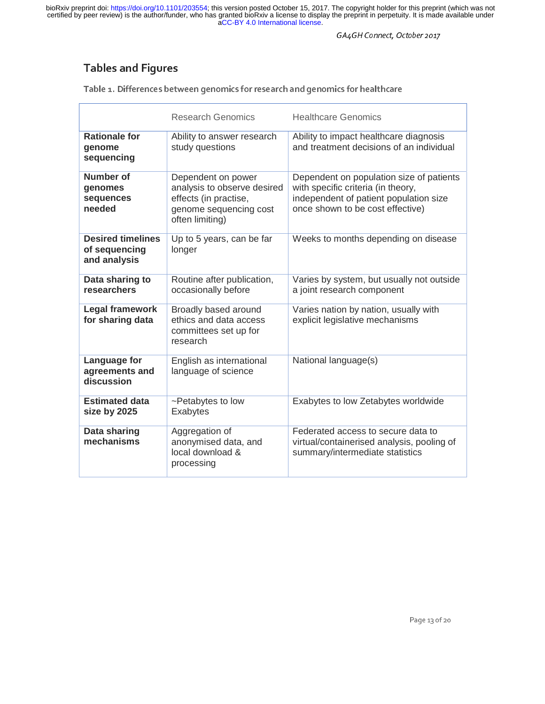GA4GH Connect, October 2017

# Tables and Figures

Table 1. Differences between genomics for research and genomics for healthcare

|                                                           | Research Genomics                                                                                                       | <b>Healthcare Genomics</b>                                                                                                                                   |
|-----------------------------------------------------------|-------------------------------------------------------------------------------------------------------------------------|--------------------------------------------------------------------------------------------------------------------------------------------------------------|
| <b>Rationale for</b><br>genome<br>sequencing              | Ability to answer research<br>study questions                                                                           | Ability to impact healthcare diagnosis<br>and treatment decisions of an individual                                                                           |
| Number of<br>genomes<br>sequences<br>needed               | Dependent on power<br>analysis to observe desired<br>effects (in practise,<br>genome sequencing cost<br>often limiting) | Dependent on population size of patients<br>with specific criteria (in theory,<br>independent of patient population size<br>once shown to be cost effective) |
| <b>Desired timelines</b><br>of sequencing<br>and analysis | Up to 5 years, can be far<br>longer                                                                                     | Weeks to months depending on disease                                                                                                                         |
| Data sharing to<br>researchers                            | Routine after publication,<br>occasionally before                                                                       | Varies by system, but usually not outside<br>a joint research component                                                                                      |
| <b>Legal framework</b><br>for sharing data                | Broadly based around<br>ethics and data access<br>committees set up for<br>research                                     | Varies nation by nation, usually with<br>explicit legislative mechanisms                                                                                     |
| Language for<br>agreements and<br>discussion              | English as international<br>language of science                                                                         | National language(s)                                                                                                                                         |
| <b>Estimated data</b><br>size by 2025                     | ~Petabytes to low<br>Exabytes                                                                                           | Exabytes to low Zetabytes worldwide                                                                                                                          |
| <b>Data sharing</b><br>mechanisms                         | Aggregation of<br>anonymised data, and<br>local download &<br>processing                                                | Federated access to secure data to<br>virtual/containerised analysis, pooling of<br>summary/intermediate statistics                                          |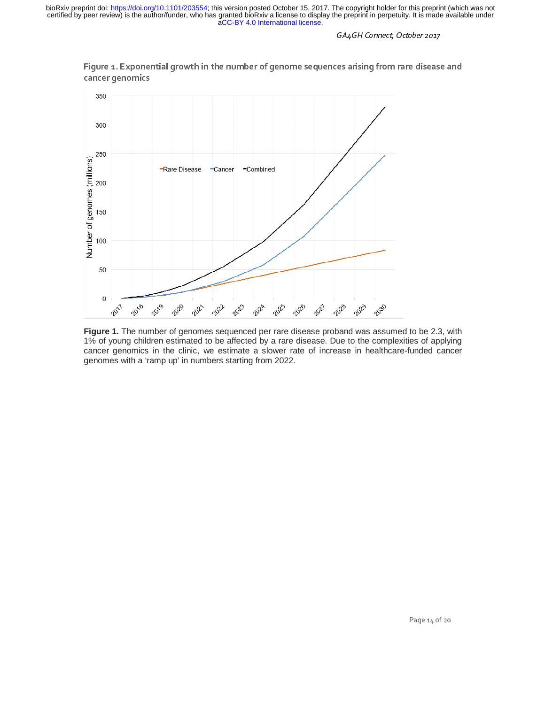

Figure 1. Exponential growth in the number of genome sequences arising from rare disease and cancer genomics

**Figure 1.** The number of genomes sequenced per rare disease proband was assumed to be 2.3, with 1% of young children estimated to be affected by a rare disease. Due to the complexities of applying cancer genomics in the clinic, we estimate a slower rate of increase in healthcare-funded cancer genomes with a 'ramp up' in numbers starting from 2022.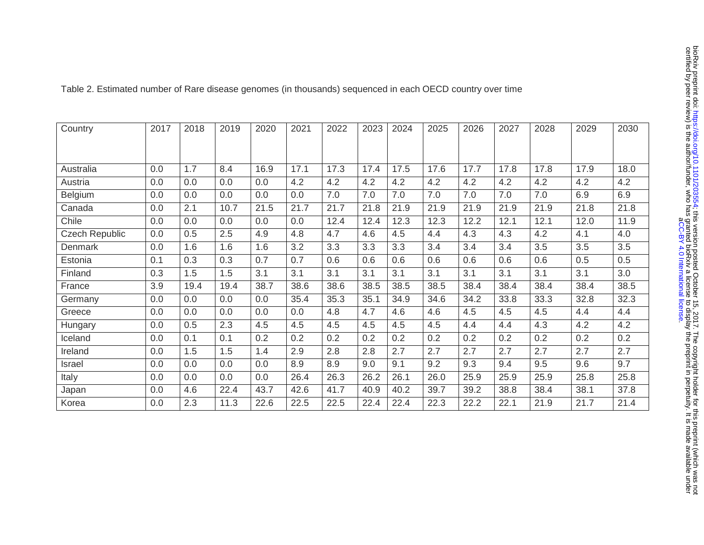| Country               | 2017 | 2018 | 2019 | 2020 | 2021 | 2022 | 2023 | 2024 | 2025 | 2026 | 2027 | 2028 | 2029 | 2030 |
|-----------------------|------|------|------|------|------|------|------|------|------|------|------|------|------|------|
|                       |      |      |      |      |      |      |      |      |      |      |      |      |      |      |
| Australia             | 0.0  | 1.7  | 8.4  | 16.9 | 17.1 | 17.3 | 17.4 | 17.5 | 17.6 | 17.7 | 17.8 | 17.8 | 17.9 | 18.0 |
| Austria               | 0.0  | 0.0  | 0.0  | 0.0  | 4.2  | 4.2  | 4.2  | 4.2  | 4.2  | 4.2  | 4.2  | 4.2  | 4.2  | 4.2  |
| Belgium               | 0.0  | 0.0  | 0.0  | 0.0  | 0.0  | 7.0  | 7.0  | 7.0  | 7.0  | 7.0  | 7.0  | 7.0  | 6.9  | 6.9  |
| Canada                | 0.0  | 2.1  | 10.7 | 21.5 | 21.7 | 21.7 | 21.8 | 21.9 | 21.9 | 21.9 | 21.9 | 21.9 | 21.8 | 21.8 |
| Chile                 | 0.0  | 0.0  | 0.0  | 0.0  | 0.0  | 12.4 | 12.4 | 12.3 | 12.3 | 12.2 | 12.1 | 12.1 | 12.0 | 11.9 |
| <b>Czech Republic</b> | 0.0  | 0.5  | 2.5  | 4.9  | 4.8  | 4.7  | 4.6  | 4.5  | 4.4  | 4.3  | 4.3  | 4.2  | 4.1  | 4.0  |
| <b>Denmark</b>        | 0.0  | 1.6  | 1.6  | 1.6  | 3.2  | 3.3  | 3.3  | 3.3  | 3.4  | 3.4  | 3.4  | 3.5  | 3.5  | 3.5  |
| Estonia               | 0.1  | 0.3  | 0.3  | 0.7  | 0.7  | 0.6  | 0.6  | 0.6  | 0.6  | 0.6  | 0.6  | 0.6  | 0.5  | 0.5  |
| Finland               | 0.3  | 1.5  | 1.5  | 3.1  | 3.1  | 3.1  | 3.1  | 3.1  | 3.1  | 3.1  | 3.1  | 3.1  | 3.1  | 3.0  |
| France                | 3.9  | 19.4 | 19.4 | 38.7 | 38.6 | 38.6 | 38.5 | 38.5 | 38.5 | 38.4 | 38.4 | 38.4 | 38.4 | 38.5 |
| Germany               | 0.0  | 0.0  | 0.0  | 0.0  | 35.4 | 35.3 | 35.1 | 34.9 | 34.6 | 34.2 | 33.8 | 33.3 | 32.8 | 32.3 |
| Greece                | 0.0  | 0.0  | 0.0  | 0.0  | 0.0  | 4.8  | 4.7  | 4.6  | 4.6  | 4.5  | 4.5  | 4.5  | 4.4  | 4.4  |
| Hungary               | 0.0  | 0.5  | 2.3  | 4.5  | 4.5  | 4.5  | 4.5  | 4.5  | 4.5  | 4.4  | 4.4  | 4.3  | 4.2  | 4.2  |
| Iceland               | 0.0  | 0.1  | 0.1  | 0.2  | 0.2  | 0.2  | 0.2  | 0.2  | 0.2  | 0.2  | 0.2  | 0.2  | 0.2  | 0.2  |
| Ireland               | 0.0  | 1.5  | 1.5  | 1.4  | 2.9  | 2.8  | 2.8  | 2.7  | 2.7  | 2.7  | 2.7  | 2.7  | 2.7  | 2.7  |
| Israel                | 0.0  | 0.0  | 0.0  | 0.0  | 8.9  | 8.9  | 9.0  | 9.1  | 9.2  | 9.3  | 9.4  | 9.5  | 9.6  | 9.7  |
| Italy                 | 0.0  | 0.0  | 0.0  | 0.0  | 26.4 | 26.3 | 26.2 | 26.1 | 26.0 | 25.9 | 25.9 | 25.9 | 25.8 | 25.8 |
| Japan                 | 0.0  | 4.6  | 22.4 | 43.7 | 42.6 | 41.7 | 40.9 | 40.2 | 39.7 | 39.2 | 38.8 | 38.4 | 38.1 | 37.8 |
| Korea                 | 0.0  | 2.3  | 11.3 | 22.6 | 22.5 | 22.5 | 22.4 | 22.4 | 22.3 | 22.2 | 22.1 | 21.9 | 21.7 | 21.4 |

Table 2. Estimated number of Rare disease genomes (in thousands) sequenced in each OECD country over time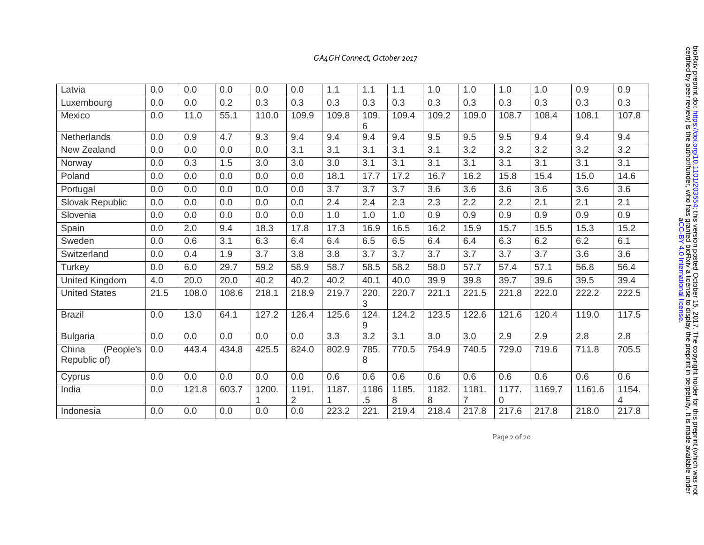| Latvia                             | 0.0  | 0.0   | 0.0   | 0.0   | 0.0   | 1.1              | 1.1       | 1.1   | 1.0              | 1.0   | 1.0   | 1.0              | 0.9    | 0.9              |
|------------------------------------|------|-------|-------|-------|-------|------------------|-----------|-------|------------------|-------|-------|------------------|--------|------------------|
| Luxembourg                         | 0.0  | 0.0   | 0.2   | 0.3   | 0.3   | 0.3              | 0.3       | 0.3   | 0.3              | 0.3   | 0.3   | 0.3              | 0.3    | 0.3              |
| Mexico                             | 0.0  | 11.0  | 55.1  | 110.0 | 109.9 | 109.8            | 109.<br>6 | 109.4 | 109.2            | 109.0 | 108.7 | 108.4            | 108.1  | 107.8            |
| Netherlands                        | 0.0  | 0.9   | 4.7   | 9.3   | 9.4   | 9.4              | 9.4       | 9.4   | 9.5              | 9.5   | 9.5   | 9.4              | 9.4    | 9.4              |
| New Zealand                        | 0.0  | 0.0   | 0.0   | 0.0   | 3.1   | 3.1              | 3.1       | 3.1   | 3.1              | 3.2   | 3.2   | 3.2              | 3.2    | 3.2              |
| Norway                             | 0.0  | 0.3   | 1.5   | 3.0   | 3.0   | 3.0              | 3.1       | 3.1   | 3.1              | 3.1   | 3.1   | 3.1              | 3.1    | 3.1              |
| Poland                             | 0.0  | 0.0   | 0.0   | 0.0   | 0.0   | 18.1             | 17.7      | 17.2  | 16.7             | 16.2  | 15.8  | 15.4             | 15.0   | 14.6             |
| Portugal                           | 0.0  | 0.0   | 0.0   | 0.0   | 0.0   | $\overline{3.7}$ | 3.7       | 3.7   | $\overline{3.6}$ | 3.6   | 3.6   | $\overline{3.6}$ | 3.6    | $\overline{3.6}$ |
| Slovak Republic                    | 0.0  | 0.0   | 0.0   | 0.0   | 0.0   | 2.4              | 2.4       | 2.3   | 2.3              | 2.2   | 2.2   | 2.1              | 2.1    | 2.1              |
| Slovenia                           | 0.0  | 0.0   | 0.0   | 0.0   | 0.0   | 1.0              | 1.0       | 1.0   | 0.9              | 0.9   | 0.9   | 0.9              | 0.9    | 0.9              |
| Spain                              | 0.0  | 2.0   | 9.4   | 18.3  | 17.8  | 17.3             | 16.9      | 16.5  | 16.2             | 15.9  | 15.7  | 15.5             | 15.3   | 15.2             |
| Sweden                             | 0.0  | 0.6   | 3.1   | 6.3   | 6.4   | 6.4              | 6.5       | 6.5   | 6.4              | 6.4   | 6.3   | 6.2              | 6.2    | 6.1              |
| Switzerland                        | 0.0  | 0.4   | 1.9   | 3.7   | 3.8   | 3.8              | 3.7       | 3.7   | 3.7              | 3.7   | 3.7   | 3.7              | 3.6    | 3.6              |
| Turkey                             | 0.0  | 6.0   | 29.7  | 59.2  | 58.9  | 58.7             | 58.5      | 58.2  | 58.0             | 57.7  | 57.4  | 57.1             | 56.8   | 56.4             |
| <b>United Kingdom</b>              | 4.0  | 20.0  | 20.0  | 40.2  | 40.2  | 40.2             | 40.1      | 40.0  | 39.9             | 39.8  | 39.7  | 39.6             | 39.5   | 39.4             |
| <b>United States</b>               | 21.5 | 108.0 | 108.6 | 218.1 | 218.9 | 219.7            | 220.<br>3 | 220.7 | 221.1            | 221.5 | 221.8 | 222.0            | 222.2  | 222.5            |
| <b>Brazil</b>                      | 0.0  | 13.0  | 64.1  | 127.2 | 126.4 | 125.6            | 124.<br>9 | 124.2 | 123.5            | 122.6 | 121.6 | 120.4            | 119.0  | 117.5            |
| <b>Bulgaria</b>                    | 0.0  | 0.0   | 0.0   | 0.0   | 0.0   | 3.3              | 3.2       | 3.1   | 3.0              | 3.0   | 2.9   | 2.9              | 2.8    | 2.8              |
| China<br>(People's<br>Republic of) | 0.0  | 443.4 | 434.8 | 425.5 | 824.0 | 802.9            | 785.<br>8 | 770.5 | 754.9            | 740.5 | 729.0 | 719.6            | 711.8  | 705.5            |
| Cyprus                             | 0.0  | 0.0   | 0.0   | 0.0   | 0.0   | 0.6              | 0.6       | 0.6   | 0.6              | 0.6   | 0.6   | 0.6              | 0.6    | 0.6              |
| India                              | 0.0  | 121.8 | 603.7 | 1200  | 1191. | 1187.            | 1186      | 1185. | 1182.            | 1181. | 1177. | 1169.7           | 1161.6 | 1154.            |
|                                    |      |       |       |       | 2     |                  | .5        | 8     | 8                | 7     | 0     |                  |        | 4                |
| Indonesia                          | 0.0  | 0.0   | 0.0   | 0.0   | 0.0   | 223.2            | 221.      | 219.4 | 218.4            | 217.8 | 217.6 | 217.8            | 218.0  | 217.8            |

Page 2 of 20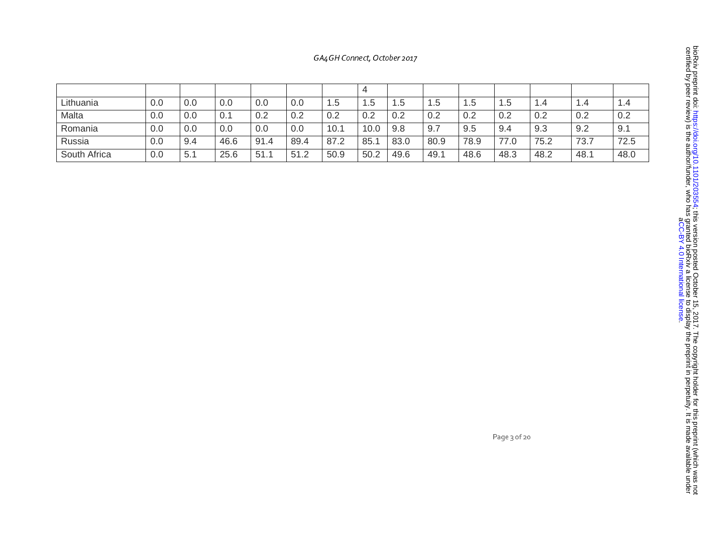| GA4GH Connect, October 2017 |  |
|-----------------------------|--|
|                             |  |

| Lithuania    | 0.0 | 0.0 | 0.0  | 0.0  | 0.0  | l.5  | 1.5  | . . 5 | . .5 | 1.5  | 1.5  | .4   | 1.4  | 1.4  |
|--------------|-----|-----|------|------|------|------|------|-------|------|------|------|------|------|------|
| Malta        | 0.0 | 0.0 | 0.2  | 0.2  | 0.2  | 0.2  | 0.2  | 0.2   | 0.2  | 0.2  | 0.2  | 0.2  | 0.2  | 0.2  |
| Romania      | 0.0 | 0.0 | 0.0  | 0.0  | 0.0  | 10.1 | 10.0 | 9.8   | 9.7  | 9.5  | 9.4  | 9.3  | 9.2  | 9.1  |
| Russia       | 0.0 | 9.4 | 46.6 | 91.4 | 89.4 | 87.2 | 85.7 | 83.0  | 80.9 | 78.9 | 77.0 | 75.2 | 73.7 | 72.5 |
| South Africa | 0.0 | 5.1 | 25.6 | 51.1 | 51.2 | 50.9 | 50.2 | 49.6  | 49.1 | 48.6 | 48.3 | 48.2 | 48.1 | 48.0 |

Page 3 of 20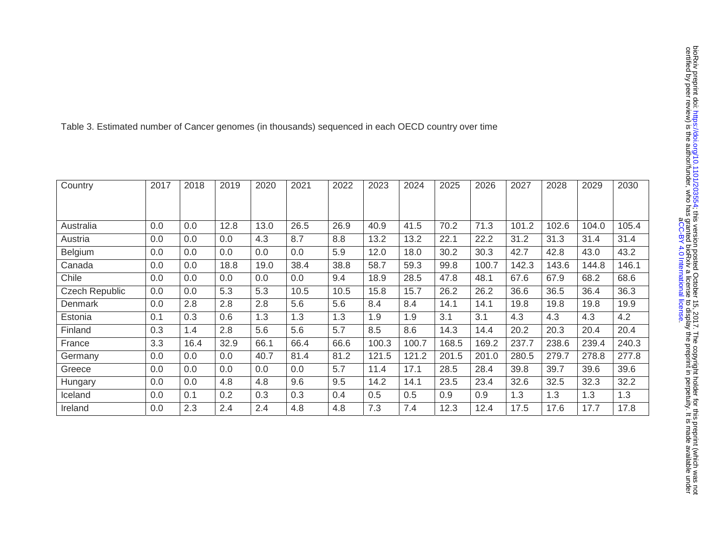| מה הי <del>ם בי</del> ח ומ<br>うつつ ロミュコ Instrustri | bioRxiv preprint doi: https://doi.org/10.1101/203554; this version posted October 15, 2017. The copyright holder for this preprint (which was not<br>certified by peer review) is the author/funder, who has granted bioRxiv a li | this varries served Databar 4 m 2043 Hba associate ballar for this strastice court. |
|---------------------------------------------------|-----------------------------------------------------------------------------------------------------------------------------------------------------------------------------------------------------------------------------------|-------------------------------------------------------------------------------------|
|                                                   |                                                                                                                                                                                                                                   |                                                                                     |

| Country               | 2017 | 2018 | 2019 | 2020 | 2021 | 2022 | 2023  | 2024  | 2025  | 2026  | 2027  | 2028  | 2029  | 2030  |
|-----------------------|------|------|------|------|------|------|-------|-------|-------|-------|-------|-------|-------|-------|
|                       |      |      |      |      |      |      |       |       |       |       |       |       |       |       |
| Australia             | 0.0  | 0.0  | 12.8 | 13.0 | 26.5 | 26.9 | 40.9  | 41.5  | 70.2  | 71.3  | 101.2 | 102.6 | 104.0 | 105.4 |
| Austria               | 0.0  | 0.0  | 0.0  | 4.3  | 8.7  | 8.8  | 13.2  | 13.2  | 22.1  | 22.2  | 31.2  | 31.3  | 31.4  | 31.4  |
| Belgium               | 0.0  | 0.0  | 0.0  | 0.0  | 0.0  | 5.9  | 12.0  | 18.0  | 30.2  | 30.3  | 42.7  | 42.8  | 43.0  | 43.2  |
| Canada                | 0.0  | 0.0  | 18.8 | 19.0 | 38.4 | 38.8 | 58.7  | 59.3  | 99.8  | 100.7 | 142.3 | 143.6 | 144.8 | 146.1 |
| Chile                 | 0.0  | 0.0  | 0.0  | 0.0  | 0.0  | 9.4  | 18.9  | 28.5  | 47.8  | 48.1  | 67.6  | 67.9  | 68.2  | 68.6  |
| <b>Czech Republic</b> | 0.0  | 0.0  | 5.3  | 5.3  | 10.5 | 10.5 | 15.8  | 15.7  | 26.2  | 26.2  | 36.6  | 36.5  | 36.4  | 36.3  |
| Denmark               | 0.0  | 2.8  | 2.8  | 2.8  | 5.6  | 5.6  | 8.4   | 8.4   | 14.1  | 14.1  | 19.8  | 19.8  | 19.8  | 19.9  |
| Estonia               | 0.1  | 0.3  | 0.6  | 1.3  | 1.3  | 1.3  | 1.9   | 1.9   | 3.1   | 3.1   | 4.3   | 4.3   | 4.3   | 4.2   |
| Finland               | 0.3  | 1.4  | 2.8  | 5.6  | 5.6  | 5.7  | 8.5   | 8.6   | 14.3  | 14.4  | 20.2  | 20.3  | 20.4  | 20.4  |
| France                | 3.3  | 16.4 | 32.9 | 66.1 | 66.4 | 66.6 | 100.3 | 100.7 | 168.5 | 169.2 | 237.7 | 238.6 | 239.4 | 240.3 |
| Germany               | 0.0  | 0.0  | 0.0  | 40.7 | 81.4 | 81.2 | 121.5 | 121.2 | 201.5 | 201.0 | 280.5 | 279.7 | 278.8 | 277.8 |
| Greece                | 0.0  | 0.0  | 0.0  | 0.0  | 0.0  | 5.7  | 11.4  | 17.1  | 28.5  | 28.4  | 39.8  | 39.7  | 39.6  | 39.6  |
| Hungary               | 0.0  | 0.0  | 4.8  | 4.8  | 9.6  | 9.5  | 14.2  | 14.1  | 23.5  | 23.4  | 32.6  | 32.5  | 32.3  | 32.2  |
| Iceland               | 0.0  | 0.1  | 0.2  | 0.3  | 0.3  | 0.4  | 0.5   | 0.5   | 0.9   | 0.9   | 1.3   | 1.3   | 1.3   | 1.3   |
| Ireland               | 0.0  | 2.3  | 2.4  | 2.4  | 4.8  | 4.8  | 7.3   | 7.4   | 12.3  | 12.4  | 17.5  | 17.6  | 17.7  | 17.8  |

Table 3. Estimated number of Cancer genomes (in thousands) sequenced in each OECD country over time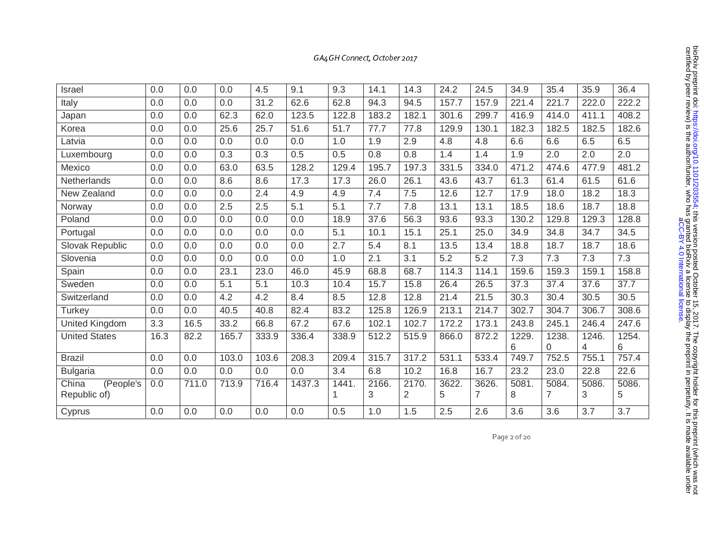| Israel               | 0.0  | 0.0   | 0.0   | 4.5   | 9.1    | 9.3   | 14.1  | 14.3           | 24.2  | 24.5  | 34.9  | 35.4  | 35.9  | 36.4  |
|----------------------|------|-------|-------|-------|--------|-------|-------|----------------|-------|-------|-------|-------|-------|-------|
| Italy                | 0.0  | 0.0   | 0.0   | 31.2  | 62.6   | 62.8  | 94.3  | 94.5           | 157.7 | 157.9 | 221.4 | 221.7 | 222.0 | 222.2 |
| Japan                | 0.0  | 0.0   | 62.3  | 62.0  | 123.5  | 122.8 | 183.2 | 182.1          | 301.6 | 299.7 | 416.9 | 414.0 | 411.1 | 408.2 |
| Korea                | 0.0  | 0.0   | 25.6  | 25.7  | 51.6   | 51.7  | 77.7  | 77.8           | 129.9 | 130.1 | 182.3 | 182.5 | 182.5 | 182.6 |
| Latvia               | 0.0  | 0.0   | 0.0   | 0.0   | 0.0    | 1.0   | 1.9   | 2.9            | 4.8   | 4.8   | 6.6   | 6.6   | 6.5   | 6.5   |
| Luxembourg           | 0.0  | 0.0   | 0.3   | 0.3   | 0.5    | 0.5   | 0.8   | 0.8            | 1.4   | 1.4   | 1.9   | 2.0   | 2.0   | 2.0   |
| Mexico               | 0.0  | 0.0   | 63.0  | 63.5  | 128.2  | 129.4 | 195.7 | 197.3          | 331.5 | 334.0 | 471.2 | 474.6 | 477.9 | 481.2 |
| Netherlands          | 0.0  | 0.0   | 8.6   | 8.6   | 17.3   | 17.3  | 26.0  | 26.1           | 43.6  | 43.7  | 61.3  | 61.4  | 61.5  | 61.6  |
| New Zealand          | 0.0  | 0.0   | 0.0   | 2.4   | 4.9    | 4.9   | 7.4   | 7.5            | 12.6  | 12.7  | 17.9  | 18.0  | 18.2  | 18.3  |
| Norway               | 0.0  | 0.0   | 2.5   | 2.5   | 5.1    | 5.1   | 7.7   | 7.8            | 13.1  | 13.1  | 18.5  | 18.6  | 18.7  | 18.8  |
| Poland               | 0.0  | 0.0   | 0.0   | 0.0   | 0.0    | 18.9  | 37.6  | 56.3           | 93.6  | 93.3  | 130.2 | 129.8 | 129.3 | 128.8 |
| Portugal             | 0.0  | 0.0   | 0.0   | 0.0   | 0.0    | 5.1   | 10.1  | 15.1           | 25.1  | 25.0  | 34.9  | 34.8  | 34.7  | 34.5  |
| Slovak Republic      | 0.0  | 0.0   | 0.0   | 0.0   | 0.0    | 2.7   | 5.4   | 8.1            | 13.5  | 13.4  | 18.8  | 18.7  | 18.7  | 18.6  |
| Slovenia             | 0.0  | 0.0   | 0.0   | 0.0   | 0.0    | 1.0   | 2.1   | 3.1            | 5.2   | 5.2   | 7.3   | 7.3   | 7.3   | 7.3   |
| Spain                | 0.0  | 0.0   | 23.1  | 23.0  | 46.0   | 45.9  | 68.8  | 68.7           | 114.3 | 114.1 | 159.6 | 159.3 | 159.1 | 158.8 |
| Sweden               | 0.0  | 0.0   | 5.1   | 5.1   | 10.3   | 10.4  | 15.7  | 15.8           | 26.4  | 26.5  | 37.3  | 37.4  | 37.6  | 37.7  |
| Switzerland          | 0.0  | 0.0   | 4.2   | 4.2   | 8.4    | 8.5   | 12.8  | 12.8           | 21.4  | 21.5  | 30.3  | 30.4  | 30.5  | 30.5  |
| Turkey               | 0.0  | 0.0   | 40.5  | 40.8  | 82.4   | 83.2  | 125.8 | 126.9          | 213.1 | 214.7 | 302.7 | 304.7 | 306.7 | 308.6 |
| United Kingdom       | 3.3  | 16.5  | 33.2  | 66.8  | 67.2   | 67.6  | 102.1 | 102.7          | 172.2 | 173.1 | 243.8 | 245.1 | 246.4 | 247.6 |
| <b>United States</b> | 16.3 | 82.2  | 165.7 | 333.9 | 336.4  | 338.9 | 512.2 | 515.9          | 866.0 | 872.2 | 1229. | 1238. | 1246. | 1254. |
|                      |      |       |       |       |        |       |       |                |       |       | 6     | 0     | 4     | 6     |
| <b>Brazil</b>        | 0.0  | 0.0   | 103.0 | 103.6 | 208.3  | 209.4 | 315.7 | 317.2          | 531.1 | 533.4 | 749.7 | 752.5 | 755.1 | 757.4 |
| <b>Bulgaria</b>      | 0.0  | 0.0   | 0.0   | 0.0   | 0.0    | 3.4   | 6.8   | 10.2           | 16.8  | 16.7  | 23.2  | 23.0  | 22.8  | 22.6  |
| China<br>(People's   | 0.0  | 711.0 | 713.9 | 716.4 | 1437.3 | 1441. | 2166. | 2170.          | 3622. | 3626. | 5081. | 5084. | 5086. | 5086. |
| Republic of)         |      |       |       |       |        | 1     | 3     | $\overline{2}$ | 5     | 7     | 8     | 7     | 3     | 5     |
| Cyprus               | 0.0  | 0.0   | 0.0   | 0.0   | 0.0    | 0.5   | 1.0   | 1.5            | 2.5   | 2.6   | 3.6   | 3.6   | 3.7   | 3.7   |

. [CC-BY 4.0 International license](http://creativecommons.org/licenses/by/4.0/) bioRxiv preprint doi: https://doi.org/10.1101/203554; this version posted October 15, 2017. The copyright holder for this preprint (which was not<br>certified by peer review) is the author/funder, who has granted bioRxiv a li certified by peer review) is the authorychalder, who has granted bioRxiv all cense to display the preprint in perperint in perpetuity. It is made available under DioRxiv preprint doi: https://doi.org/10.1101/203554[;](https://doi.org/10.1101/203554) this version posted October 16, 2017. The odyvight holder for this preprint (which was not bioRxiv preprint (which was not

Page 2 of 20